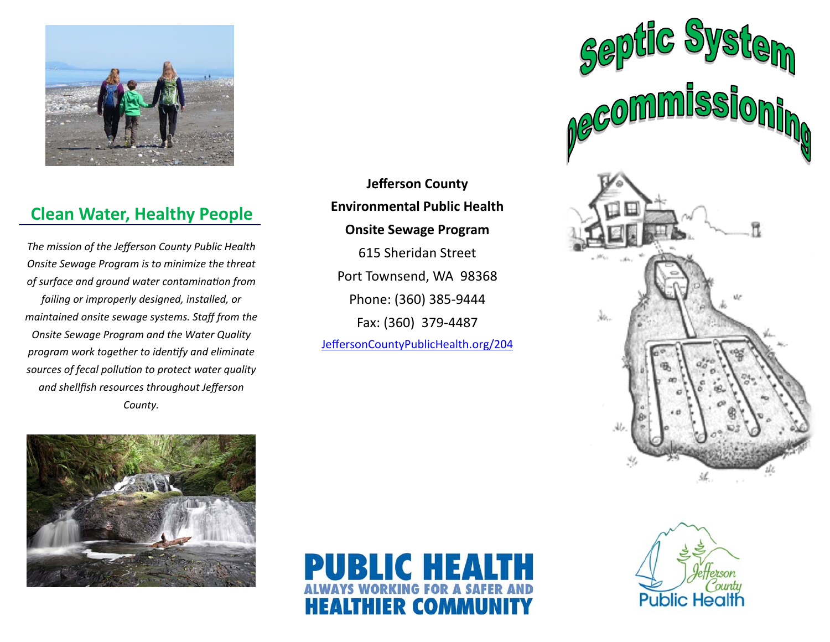

# **Clean Water, Healthy People**

*The mission of the Jefferson County Public Health Onsite Sewage Program is to minimize the threat of surface and ground water contaminaƟon from failing or improperly designed, installed, or maintained onsite sewage systems. Staff from the Onsite Sewage Program and the Water Quality program work together to idenƟfy and eliminate sources of fecal polluƟon to protect water quality and shellfish resources throughout Jefferson County.*

**Jefferson County Environmental Public Health Onsite Sewage Program** 

615 Sheridan Street Port Townsend, WA 98368 Phone: (360) 385‐9444 Fax: (360) 379‐4487 JeffersonCountyPublicHealth.org/204





PUBLIC HEALTH **HEALTHIER COMMUNITY**